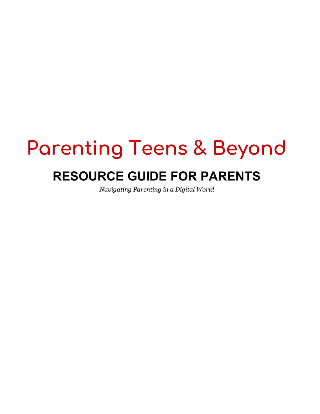# **Parenting Teens & Beyond RESOURCE GUIDE FOR PARENTS**

*Navigating Parenting in a Digital World*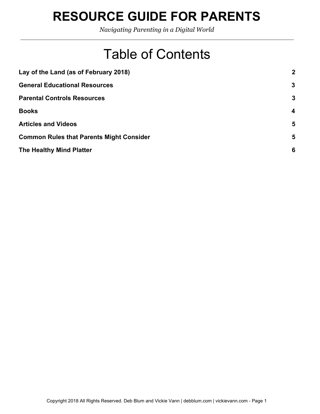*Navigating Parenting in a Digital World*

## Table of Contents

| Lay of the Land (as of February 2018)           | $\mathbf{2}$ |
|-------------------------------------------------|--------------|
| <b>General Educational Resources</b>            | $\mathbf{3}$ |
| <b>Parental Controls Resources</b>              | 3            |
| <b>Books</b>                                    | 4            |
| <b>Articles and Videos</b>                      | 5            |
| <b>Common Rules that Parents Might Consider</b> | 5            |
| The Healthy Mind Platter                        | 6            |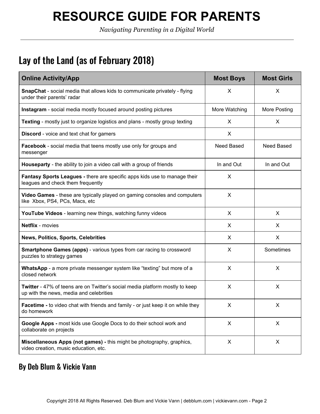*Navigating Parenting in a Digital World*

#### <span id="page-2-0"></span>Lay of the Land (as of February 2018)

| <b>Online Activity/App</b>                                                                                              | <b>Most Boys</b> | <b>Most Girls</b> |
|-------------------------------------------------------------------------------------------------------------------------|------------------|-------------------|
| <b>SnapChat</b> - social media that allows kids to communicate privately - flying<br>under their parents' radar         | X                | X                 |
| <b>Instagram</b> - social media mostly focused around posting pictures                                                  | More Watching    | More Posting      |
| <b>Texting</b> - mostly just to organize logistics and plans - mostly group texting                                     | X                | X                 |
| <b>Discord</b> - voice and text chat for gamers                                                                         | X                |                   |
| Facebook - social media that teens mostly use only for groups and<br>messenger                                          | Need Based       | Need Based        |
| Houseparty - the ability to join a video call with a group of friends                                                   | In and Out       | In and Out        |
| Fantasy Sports Leagues - there are specific apps kids use to manage their<br>leagues and check them frequently          | X                |                   |
| Video Games - these are typically played on gaming consoles and computers<br>like Xbox, PS4, PCs, Macs, etc             | X                |                   |
| YouTube Videos - learning new things, watching funny videos                                                             | X                | X                 |
| <b>Netflix</b> - movies                                                                                                 | X                | X                 |
| <b>News, Politics, Sports, Celebrities</b>                                                                              | X                | X                 |
| <b>Smartphone Games (apps)</b> - various types from car racing to crossword<br>puzzles to strategy games                | X                | Sometimes         |
| WhatsApp - a more private messenger system like "texting" but more of a<br>closed network                               | X                | X                 |
| Twitter - 47% of teens are on Twitter's social media platform mostly to keep<br>up with the news, media and celebrities | X                | X                 |
| Facetime - to video chat with friends and family - or just keep it on while they<br>do homework                         | X.               | X                 |
| Google Apps - most kids use Google Docs to do their school work and<br>collaborate on projects                          | $\pmb{\times}$   | $\pmb{\times}$    |
| Miscellaneous Apps (not games) - this might be photography, graphics,<br>video creation, music education, etc.          | $\pmb{\times}$   | X                 |

#### By Deb Blum & Vickie Vann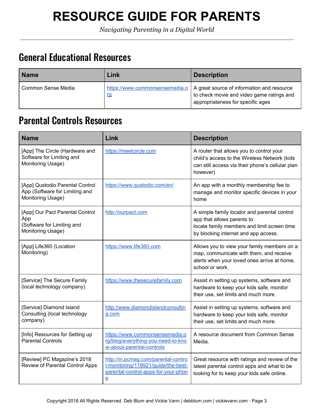*Navigating Parenting in a Digital World*

#### <span id="page-3-0"></span>General Educational Resources

| <b>Name</b>        | Link      | <b>Description</b>                                                                                                                                            |
|--------------------|-----------|---------------------------------------------------------------------------------------------------------------------------------------------------------------|
| Common Sense Media | <u>rg</u> | https://www.commonsensemedia.o   A great source of information and resource<br>to check movie and video game ratings and<br>appropriateness for specific ages |

#### <span id="page-3-1"></span>Parental Controls Resources

| <b>Name</b>                                                                               | Link                                                                                                                             | <b>Description</b>                                                                                                                                                |
|-------------------------------------------------------------------------------------------|----------------------------------------------------------------------------------------------------------------------------------|-------------------------------------------------------------------------------------------------------------------------------------------------------------------|
| [App] The Circle (Hardware and<br>Software for Limiting and<br>Monitoring Usage)          | https://meetcircle.com                                                                                                           | A router that allows you to control your<br>child's access to the Wireless Network (kids<br>can still access via their phone's cellular plan<br>however)          |
| [App] Qustodio Parental Control<br>App (Software for Limiting and<br>Monitoring Usage)    | https://www.qustodio.com/en/                                                                                                     | An app with a monthly membership fee to<br>manage and monitor specific devices in your<br>home                                                                    |
| [App] Our Pact Parental Control<br>App<br>(Software for Limiting and<br>Monitoring Usage) | http://ourpact.com                                                                                                               | A simple family locator and parental control<br>app that allows parents to<br>locate family members and limit screen time<br>by blocking internet and app access. |
| [App] Life360 (Location<br>Monitoring)                                                    | https://www.life360.com                                                                                                          | Allows you to view your family members on a<br>map, communicate with them, and receive<br>alerts when your loved ones arrive at home,<br>school or work.          |
| [Service] The Secure Family<br>(local technology company)                                 | https://www.thesecurefamily.com                                                                                                  | Assist in setting up systems, software and<br>hardware to keep your kids safe, monitor<br>their use, set limits and much more.                                    |
| [Service] Diamond Island<br>Consulting (local technology<br>company)                      | http://www.diamondislandconsultin<br>g.com                                                                                       | Assist in setting up systems, software and<br>hardware to keep your kids safe, monitor<br>their use, set limits and much more.                                    |
| [Info] Resources for Setting up<br><b>Parental Controls</b>                               | https://www.commonsensemedia.o<br>rg/blog/everything-you-need-to-kno<br>w-about-parental-controls                                | A resource document from Common Sense<br>Media.                                                                                                                   |
| [Review] PC Magazine's 2018<br>Review of Parental Control Apps                            | http://in.pcmag.com/parental-contro<br>I-monitoring/118921/guide/the-best-<br>parental-control-apps-for-your-phon<br>$\mathbf e$ | Great resource with ratings and review of the<br>latest parental control apps and what to be<br>looking for to keep your kids safe online.                        |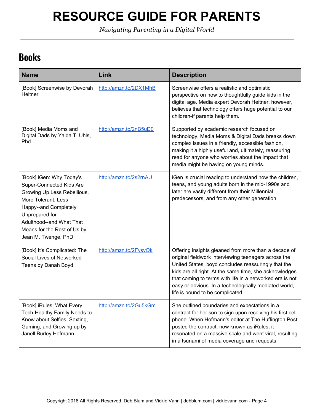*Navigating Parenting in a Digital World*

#### <span id="page-4-0"></span>Books

| <b>Name</b>                                                                                                                                                                                                                             | Link                   | <b>Description</b>                                                                                                                                                                                                                                                                                                                                                                     |
|-----------------------------------------------------------------------------------------------------------------------------------------------------------------------------------------------------------------------------------------|------------------------|----------------------------------------------------------------------------------------------------------------------------------------------------------------------------------------------------------------------------------------------------------------------------------------------------------------------------------------------------------------------------------------|
| [Book] Screenwise by Devorah<br>Heitner                                                                                                                                                                                                 | http://amzn.to/2DX1MhB | Screenwise offers a realistic and optimistic<br>perspective on how to thoughtfully guide kids in the<br>digital age. Media expert Devorah Heitner, however,<br>believes that technology offers huge potential to our<br>children-if parents help them.                                                                                                                                 |
| [Book] Media Moms and<br>Digital Dads by Yalda T. Uhls,<br>Phd                                                                                                                                                                          | http://amzn.to/2nB5uD0 | Supported by academic research focused on<br>technology, Media Moms & Digital Dads breaks down<br>complex issues in a friendly, accessible fashion,<br>making it a highly useful and, ultimately, reassuring<br>read for anyone who worries about the impact that<br>media might be having on young minds.                                                                             |
| [Book] iGen: Why Today's<br>Super-Connected Kids Are<br>Growing Up Less Rebellious,<br>More Tolerant, Less<br>Happy--and Completely<br>Unprepared for<br>Adulthood--and What That<br>Means for the Rest of Us by<br>Jean M. Twenge, PhD | http://amzn.to/2s2rnAU | iGen is crucial reading to understand how the children,<br>teens, and young adults born in the mid-1990s and<br>later are vastly different from their Millennial<br>predecessors, and from any other generation.                                                                                                                                                                       |
| [Book] It's Complicated: The<br>Social Lives of Networked<br>Teens by Danah Boyd                                                                                                                                                        | http://amzn.to/2FysvOk | Offering insights gleaned from more than a decade of<br>original fieldwork interviewing teenagers across the<br>United States, boyd concludes reassuringly that the<br>kids are all right. At the same time, she acknowledges<br>that coming to terms with life in a networked era is not<br>easy or obvious. In a technologically mediated world,<br>life is bound to be complicated. |
| [Book] iRules: What Every<br>Tech-Healthy Family Needs to<br>Know about Selfies, Sexting,<br>Gaming, and Growing up by<br>Janell Burley Hofmann                                                                                         | http://amzn.to/2Gu5kGm | She outlined boundaries and expectations in a<br>contract for her son to sign upon receiving his first cell<br>phone. When Hofmann's editor at The Huffington Post<br>posted the contract, now known as iRules, it<br>resonated on a massive scale and went viral, resulting<br>in a tsunami of media coverage and requests.                                                           |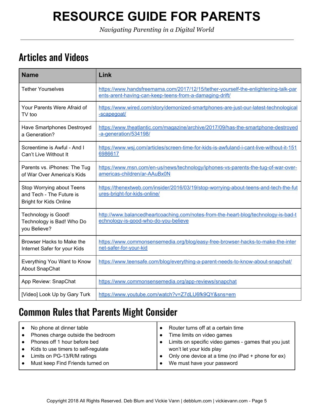*Navigating Parenting in a Digital World*

#### <span id="page-5-0"></span>Articles and Videos

| <b>Name</b>                                                                            | Link                                                                                                                                          |
|----------------------------------------------------------------------------------------|-----------------------------------------------------------------------------------------------------------------------------------------------|
| <b>Tether Yourselves</b>                                                               | https://www.handsfreemama.com/2017/12/15/tether-yourself-the-enlightening-talk-par<br>ents-arent-having-can-keep-teens-from-a-damaging-drift/ |
| Your Parents Were Afraid of<br>TV too                                                  | https://www.wired.com/story/demonized-smartphones-are-just-our-latest-technological<br>-scapegoat/                                            |
| Have Smartphones Destroyed<br>a Generation?                                            | https://www.theatlantic.com/magazine/archive/2017/09/has-the-smartphone-destroyed<br>-a-generation/534198/                                    |
| Screentime is Awful - And I<br>Can't Live Without It                                   | https://www.wsj.com/articles/screen-time-for-kids-is-awfuland-i-cant-live-without-it-151<br>6986617                                           |
| Parents vs. iPhones: The Tug<br>of War Over America's Kids                             | https://www.msn.com/en-us/news/technology/iphones-vs-parents-the-tug-of-war-over-<br>americas-children/ar-AAuBx0N                             |
| Stop Worrying about Teens<br>and Tech - The Future is<br><b>Bright for Kids Online</b> | https://thenextweb.com/insider/2016/03/19/stop-worrying-about-teens-and-tech-the-fut<br>ures-bright-for-kids-online/                          |
| Technology is Good!<br>Technology is Bad! Who Do<br>you Believe?                       | http://www.balancedheartcoaching.com/notes-from-the-heart-blog/technology-is-bad-t<br>echnology-is-good-who-do-you-believe                    |
| Browser Hacks to Make the<br>Internet Safer for your Kids                              | https://www.commonsensemedia.org/blog/easy-free-browser-hacks-to-make-the-inter<br>net-safer-for-your-kid                                     |
| Everything You Want to Know<br><b>About SnapChat</b>                                   | https://www.teensafe.com/blog/everything-a-parent-needs-to-know-about-snapchat/                                                               |
| App Review: SnapChat                                                                   | https://www.commonsensemedia.org/app-reviews/snapchat                                                                                         |
| [Video] Look Up by Gary Turk                                                           | https://www.youtube.com/watch?v=Z7dLU6fk9QY&sns=em                                                                                            |

#### <span id="page-5-1"></span>Common Rules that Parents Might Consider

| $\bullet$ | No phone at dinner table            | Router turns off at a certain time                   |
|-----------|-------------------------------------|------------------------------------------------------|
| $\bullet$ | Phones charge outside the bedroom   | Time limits on video games                           |
| $\bullet$ | Phones off 1 hour before bed        | Limits on specific video games - games that you just |
| $\bullet$ | Kids to use timers to self-regulate | won't let your kids play                             |
|           | Limits on PG-13/R/M ratings         | Only one device at a time (no iPad + phone for ex)   |
| $\bullet$ | Must keep Find Friends turned on    | We must have your password                           |
|           |                                     |                                                      |